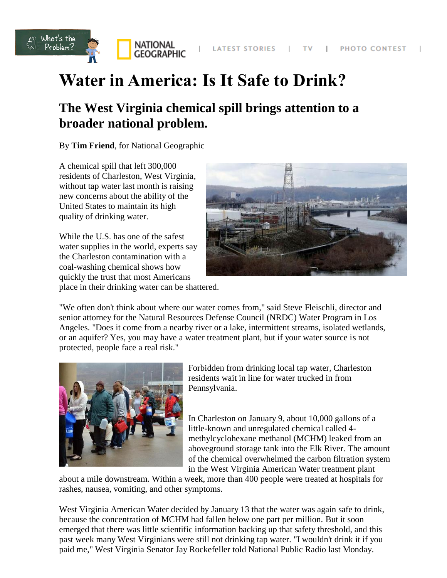

# **Water in America: Is It Safe to Drink?**

# **The West Virginia chemical spill brings attention to a broader national problem.**

By **Tim Friend**, for National Geographic

A chemical spill that left 300,000 residents of Charleston, West Virginia, without tap water last month is raising new concerns about the ability of the United States to maintain its high quality of drinking water.

While the U.S. has one of the safest water supplies in the world, experts say the Charleston contamination with a coal-washing chemical shows how quickly the trust that most Americans place in their drinking water can be shattered.



"We often don't think about where our water comes from," said Steve Fleischli, director and senior attorney for the Natural Resources Defense Council (NRDC) Water Program in Los Angeles. "Does it come from a nearby river or a lake, intermittent streams, isolated wetlands, or an aquifer? Yes, you may have a water treatment plant, but if your water source is not protected, people face a real risk."



Forbidden from drinking local tap water, Charleston residents wait in line for water trucked in from Pennsylvania.

In Charleston on January 9, about 10,000 gallons of a little-known and unregulated chemical called 4 methylcyclohexane methanol (MCHM) leaked from an aboveground storage tank into the Elk River. The amount of the chemical overwhelmed the carbon filtration system in the West Virginia American Water treatment plant

about a mile downstream. Within a week, more than 400 people were treated at hospitals for rashes, nausea, vomiting, and other symptoms.

West Virginia American Water decided by January 13 that the water was again safe to drink, because the concentration of MCHM had fallen below one part per million. But it soon emerged that there was little scientific information backing up that safety threshold, and this past week many West Virginians were still not drinking tap water. "I wouldn't drink it if you paid me," West Virginia Senator Jay Rockefeller told National Public Radio last Monday.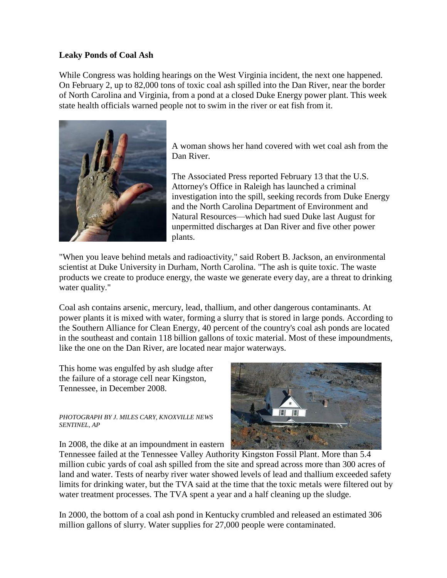## **Leaky Ponds of Coal Ash**

While Congress was holding hearings on the West Virginia incident, the next one happened. On February 2, up to 82,000 tons of toxic coal ash spilled into the Dan River, near the border of North Carolina and Virginia, from a pond at a closed Duke Energy power plant. This week state health officials warned people not to swim in the river or eat fish from it.



A woman shows her hand covered with wet coal ash from the Dan River.

The Associated Press reported February 13 that the U.S. Attorney's Office in Raleigh has launched a criminal investigation into the spill, seeking records from Duke Energy and the North Carolina Department of Environment and Natural Resources—which had sued Duke last August for unpermitted discharges at Dan River and five other power plants.

"When you leave behind metals and radioactivity," said [Robert B. Jackson,](http://biology.duke.edu/jackson/) an environmental scientist at Duke University in Durham, North Carolina. "The ash is quite toxic. The waste products we create to produce energy, the waste we generate every day, are a threat to drinking water quality."

Coal ash contains arsenic, mercury, lead, thallium, and other dangerous contaminants. At power plants it is mixed with water, forming a slurry that is stored in large ponds. According to the Southern Alliance for Clean Energy, 40 percent of the country's coal ash ponds are located in the southeast and contain 118 billion gallons of toxic material. Most of these impoundments, like the one on the Dan River, are located near major waterways.

This home was engulfed by ash sludge after the failure of a storage cell near Kingston, Tennessee, in December 2008.

#### *PHOTOGRAPH BY J. MILES CARY, KNOXVILLE NEWS SENTINEL, AP*

In 2008, the dike at an impoundment in eastern



Tennessee failed at the Tennessee Valley Authority Kingston Fossil Plant. More than 5.4 million cubic yards of coal ash spilled from the site and spread across more than 300 acres of land and water. Tests of nearby river water showed levels of lead and thallium exceeded safety limits for drinking water, but the TVA said at the time that the toxic metals were filtered out by water treatment processes. The TVA spent a year and a half cleaning up the sludge.

In 2000, the bottom of a coal ash pond in Kentucky crumbled and released an estimated 306 million gallons of slurry. Water supplies for 27,000 people were contaminated.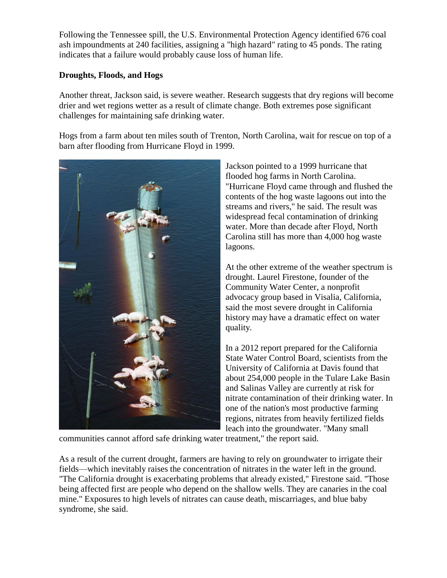Following the Tennessee spill, the U.S. Environmental Protection Agency identified 676 coal ash impoundments at 240 facilities, assigning a "high hazard" rating to 45 ponds. The rating indicates that a failure would probably cause loss of human life.

# **Droughts, Floods, and Hogs**

Another threat, Jackson said, is severe weather. Research suggests that dry regions will become drier and wet regions wetter as a result of climate change. Both extremes pose significant challenges for maintaining safe drinking water.

Hogs from a farm about ten miles south of Trenton, North Carolina, wait for rescue on top of a barn after flooding from Hurricane Floyd in 1999.



Jackson pointed to a 1999 hurricane that flooded hog farms in North Carolina. "Hurricane Floyd came through and flushed the contents of the hog waste lagoons out into the streams and rivers," he said. The result was widespread fecal contamination of drinking water. More than decade after Floyd, North Carolina still has more than 4,000 hog waste lagoons.

At the other extreme of the weather spectrum is drought. Laurel Firestone, founder of the Community Water Center, a nonprofit advocacy group based in Visalia, California, said the most severe drought in California history may have a dramatic effect on water quality.

In a 2012 report prepared for the California State Water Control Board, scientists from the University of California at Davis found that about 254,000 people in the Tulare Lake Basin and Salinas Valley are currently at risk for nitrate contamination of their drinking water. In one of the nation's most productive farming regions, nitrates from heavily fertilized fields leach into the groundwater. "Many small

communities cannot afford safe drinking water treatment," the report said.

As a result of the current drought, farmers are having to rely on groundwater to irrigate their fields—which inevitably raises the concentration of nitrates in the water left in the ground. "The California drought is exacerbating problems that already existed," Firestone said. "Those being affected first are people who depend on the shallow wells. They are canaries in the coal mine." Exposures to high levels of nitrates can cause death, miscarriages, and blue baby syndrome, she said.